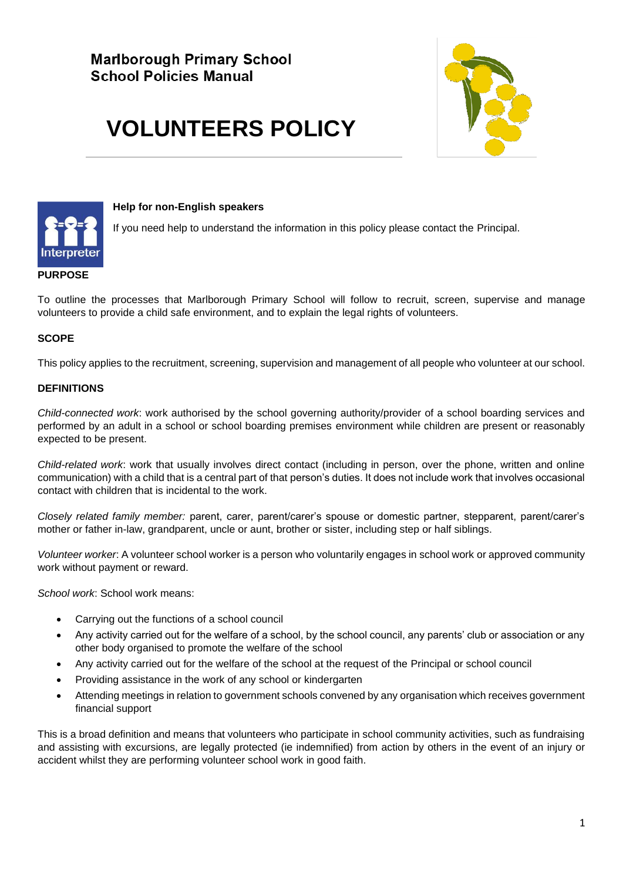# **VOLUNTEERS POLICY**





#### **Help for non-English speakers**

If you need help to understand the information in this policy please contact the Principal.

#### **PURPOSE**

To outline the processes that Marlborough Primary School will follow to recruit, screen, supervise and manage volunteers to provide a child safe environment, and to explain the legal rights of volunteers.

## **SCOPE**

This policy applies to the recruitment, screening, supervision and management of all people who volunteer at our school.

## **DEFINITIONS**

*Child-connected work*: work authorised by the school governing authority/provider of a school boarding services and performed by an adult in a school or school boarding premises environment while children are present or reasonably expected to be present.

*Child-related work*: work that usually involves direct contact (including in person, over the phone, written and online communication) with a child that is a central part of that person's duties. It does not include work that involves occasional contact with children that is incidental to the work.

*Closely related family member:* parent, carer, parent/carer's spouse or domestic partner, stepparent, parent/carer's mother or father in-law, grandparent, uncle or aunt, brother or sister, including step or half siblings.

*Volunteer worker*: A volunteer school worker is a person who voluntarily engages in school work or approved community work without payment or reward.

*School work*: School work means:

- Carrying out the functions of a school council
- Any activity carried out for the welfare of a school, by the school council, any parents' club or association or any other body organised to promote the welfare of the school
- Any activity carried out for the welfare of the school at the request of the Principal or school council
- Providing assistance in the work of any school or kindergarten
- Attending meetings in relation to government schools convened by any organisation which receives government financial support

This is a broad definition and means that volunteers who participate in school community activities, such as fundraising and assisting with excursions, are legally protected (ie indemnified) from action by others in the event of an injury or accident whilst they are performing volunteer school work in good faith.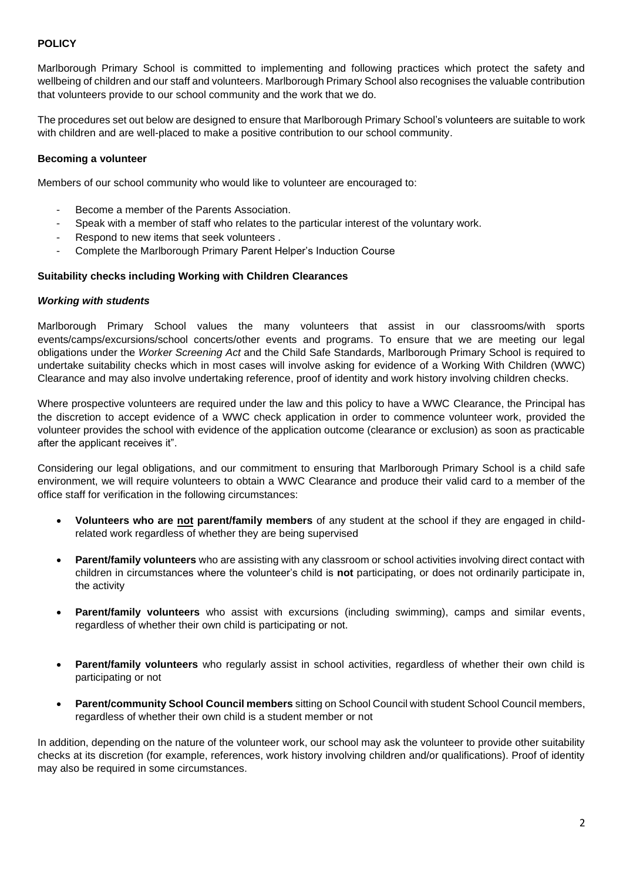## **POLICY**

Marlborough Primary School is committed to implementing and following practices which protect the safety and wellbeing of children and our staff and volunteers. Marlborough Primary School also recognises the valuable contribution that volunteers provide to our school community and the work that we do.

The procedures set out below are designed to ensure that Marlborough Primary School's volunteers are suitable to work with children and are well-placed to make a positive contribution to our school community.

#### **Becoming a volunteer**

Members of our school community who would like to volunteer are encouraged to:

- Become a member of the Parents Association.
- Speak with a member of staff who relates to the particular interest of the voluntary work.
- Respond to new items that seek volunteers.
- Complete the Marlborough Primary Parent Helper's Induction Course

#### **Suitability checks including Working with Children Clearances**

#### *Working with students*

Marlborough Primary School values the many volunteers that assist in our classrooms/with sports events/camps/excursions/school concerts/other events and programs. To ensure that we are meeting our legal obligations under the *Worker Screening Act* and the Child Safe Standards, Marlborough Primary School is required to undertake suitability checks which in most cases will involve asking for evidence of a Working With Children (WWC) Clearance and may also involve undertaking reference, proof of identity and work history involving children checks.

Where prospective volunteers are required under the law and this policy to have a WWC Clearance, the Principal has the discretion to accept evidence of a WWC check application in order to commence volunteer work, provided the volunteer provides the school with evidence of the application outcome (clearance or exclusion) as soon as practicable after the applicant receives it".

Considering our legal obligations, and our commitment to ensuring that Marlborough Primary School is a child safe environment, we will require volunteers to obtain a WWC Clearance and produce their valid card to a member of the office staff for verification in the following circumstances:

- **Volunteers who are not parent/family members** of any student at the school if they are engaged in childrelated work regardless of whether they are being supervised
- **Parent/family volunteers** who are assisting with any classroom or school activities involving direct contact with children in circumstances where the volunteer's child is **not** participating, or does not ordinarily participate in, the activity
- **Parent/family volunteers** who assist with excursions (including swimming), camps and similar events, regardless of whether their own child is participating or not.
- **Parent/family volunteers** who regularly assist in school activities, regardless of whether their own child is participating or not
- **Parent/community School Council members** sitting on School Council with student School Council members, regardless of whether their own child is a student member or not

In addition, depending on the nature of the volunteer work, our school may ask the volunteer to provide other suitability checks at its discretion (for example, references, work history involving children and/or qualifications). Proof of identity may also be required in some circumstances.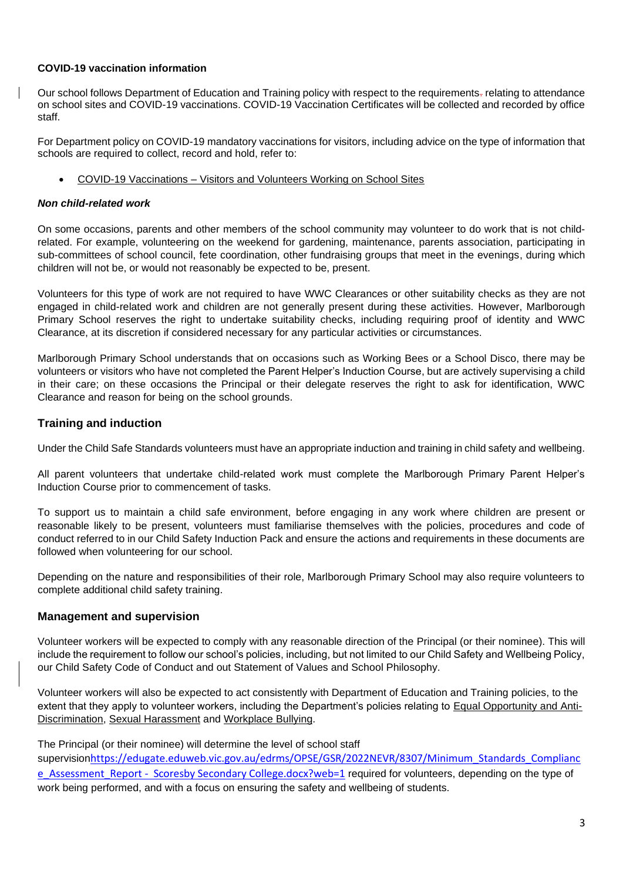## **COVID-19 vaccination information**

Our school follows Department of Education and Training policy with respect to the requirements-relating to attendance on school sites and COVID-19 vaccinations. COVID-19 Vaccination Certificates will be collected and recorded by office staff.

For Department policy on COVID-19 mandatory vaccinations for visitors, including advice on the type of information that schools are required to collect, record and hold, refer to:

• COVID-19 Vaccinations – [Visitors and Volunteers Working on School Sites](https://www2.education.vic.gov.au/pal/covid-19-vaccinations-visitors-volunteers/policy)

## *Non child-related work*

On some occasions, parents and other members of the school community may volunteer to do work that is not childrelated. For example, volunteering on the weekend for gardening, maintenance, parents association, participating in sub-committees of school council, fete coordination, other fundraising groups that meet in the evenings, during which children will not be, or would not reasonably be expected to be, present.

Volunteers for this type of work are not required to have WWC Clearances or other suitability checks as they are not engaged in child-related work and children are not generally present during these activities. However, Marlborough Primary School reserves the right to undertake suitability checks, including requiring proof of identity and WWC Clearance, at its discretion if considered necessary for any particular activities or circumstances.

Marlborough Primary School understands that on occasions such as Working Bees or a School Disco, there may be volunteers or visitors who have not completed the Parent Helper's Induction Course, but are actively supervising a child in their care; on these occasions the Principal or their delegate reserves the right to ask for identification, WWC Clearance and reason for being on the school grounds.

# **Training and induction**

Under the Child Safe Standards volunteers must have an appropriate induction and training in child safety and wellbeing.

All parent volunteers that undertake child-related work must complete the Marlborough Primary Parent Helper's Induction Course prior to commencement of tasks.

To support us to maintain a child safe environment, before engaging in any work where children are present or reasonable likely to be present, volunteers must familiarise themselves with the policies, procedures and code of conduct referred to in our Child Safety Induction Pack and ensure the actions and requirements in these documents are followed when volunteering for our school.

Depending on the nature and responsibilities of their role, Marlborough Primary School may also require volunteers to complete additional child safety training.

## **Management and supervision**

Volunteer workers will be expected to comply with any reasonable direction of the Principal (or their nominee). This will include the requirement to follow our school's policies, including, but not limited to our Child Safety and Wellbeing Policy, our Child Safety Code of Conduct and out Statement of Values and School Philosophy.

Volunteer workers will also be expected to act consistently with Department of Education and Training policies, to the extent that they apply to volunteer workers, including the Department's policies relating to [Equal Opportunity and Anti-](https://www2.education.vic.gov.au/pal/equal-opportunity/policy-and-guidelines)[Discrimination,](https://www2.education.vic.gov.au/pal/equal-opportunity/policy-and-guidelines) [Sexual Harassment](https://www2.education.vic.gov.au/pal/sexual-harassment/overview) and [Workplace Bullying.](https://www2.education.vic.gov.au/pal/workplace-bullying/policy)

## The Principal (or their nominee) will determine the level of school staff

supervision[https://edugate.eduweb.vic.gov.au/edrms/OPSE/GSR/2022NEVR/8307/Minimum\\_Standards\\_Complianc](https://edugate.eduweb.vic.gov.au/edrms/OPSE/GSR/2022NEVR/8307/Minimum_Standards_Compliance_Assessment_Report%20-%20%20Scoresby%20Secondary%20College.docx?web=1) [e\\_Assessment\\_Report - Scoresby Secondary College.docx?web=1](https://edugate.eduweb.vic.gov.au/edrms/OPSE/GSR/2022NEVR/8307/Minimum_Standards_Compliance_Assessment_Report%20-%20%20Scoresby%20Secondary%20College.docx?web=1) required for volunteers, depending on the type of work being performed, and with a focus on ensuring the safety and wellbeing of students.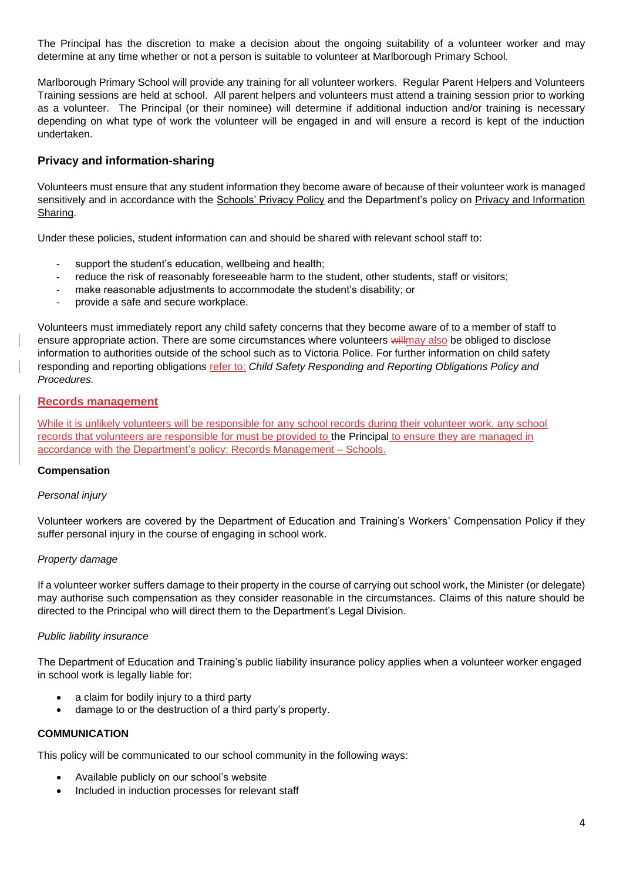The Principal has the discretion to make a decision about the ongoing suitability of a volunteer worker and may determine at any time whether or not a person is suitable to volunteer at Marlborough Primary School.

Marlborough Primary School will provide any training for all volunteer workers. Regular Parent Helpers and Volunteers Training sessions are held at school. All parent helpers and volunteers must attend a training session prior to working as a volunteer. The Principal (or their nominee) will determine if additional induction and/or training is necessary depending on what type of work the volunteer will be engaged in and will ensure a record is kept of the induction undertaken.

# **Privacy and information-sharing**

Volunteers must ensure that any student information they become aware of because of their volunteer work is managed sensitively and in accordance with the [Schools' Privacy Policy](https://www.education.vic.gov.au/Pages/schoolsprivacypolicy.aspx) and the Department's policy on Privacy and Information [Sharing.](https://www2.education.vic.gov.au/pal/privacy-information-sharing/policy)

Under these policies, student information can and should be shared with relevant school staff to:

- support the student's education, wellbeing and health;
- reduce the risk of reasonably foreseeable harm to the student, other students, staff or visitors;
- make reasonable adjustments to accommodate the student's disability; or
- provide a safe and secure workplace.

Volunteers must immediately report any child safety concerns that they become aware of to a member of staff to ensure appropriate action. There are some circumstances where volunteers will may also be obliged to disclose information to authorities outside of the school such as to Victoria Police. For further information on child safety responding and reporting obligations refer to: *Child Safety Responding and Reporting Obligations Policy and Procedures.* 

## **Records management**

While it is unlikely volunteers will be responsible for any school records during their volunteer work, any school records that volunteers are responsible for must be provided to the Principal to ensure they are managed in accordance with the Department's policy: [Records Management –](https://www2.education.vic.gov.au/pal/records-management/policy) Schools.

## **Compensation**

## *Personal injury*

Volunteer workers are covered by the Department of Education and Training's Workers' Compensation Policy if they suffer personal injury in the course of engaging in school work.

## *Property damage*

If a volunteer worker suffers damage to their property in the course of carrying out school work, the Minister (or delegate) may authorise such compensation as they consider reasonable in the circumstances. Claims of this nature should be directed to the Principal who will direct them to the Department's Legal Division.

## *Public liability insurance*

The Department of Education and Training's public liability insurance policy applies when a volunteer worker engaged in school work is legally liable for:

- a claim for bodily injury to a third party
- damage to or the destruction of a third party's property.

## **COMMUNICATION**

This policy will be communicated to our school community in the following ways:

- Available publicly on our school's website
- Included in induction processes for relevant staff